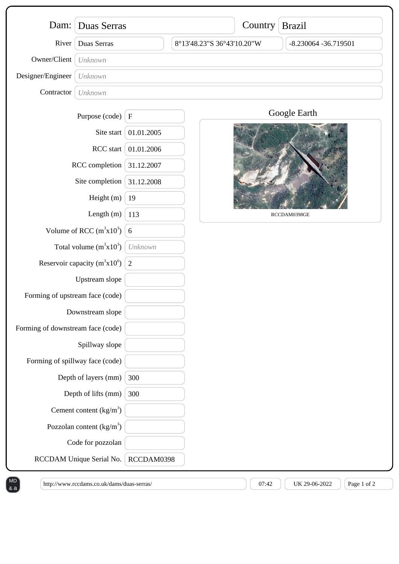|                                   | Dam: Duas Serras           |                           |                            | Country Brazil |                         |
|-----------------------------------|----------------------------|---------------------------|----------------------------|----------------|-------------------------|
| River                             | Duas Serras                |                           | 8°13'48.23"S 36°43'10.20"W |                | $-8.230064 - 36.719501$ |
| Owner/Client                      | Unknown                    |                           |                            |                |                         |
| Designer/Engineer                 | Unknown                    |                           |                            |                |                         |
| Contractor                        | Unknown                    |                           |                            |                |                         |
|                                   | Purpose (code)             | $\boldsymbol{\mathrm{F}}$ |                            |                | Google Earth            |
| Site start<br>RCC start           |                            | 01.01.2005                |                            |                |                         |
|                                   |                            | 01.01.2006                |                            |                |                         |
| RCC completion                    |                            | 31.12.2007                |                            |                |                         |
| Site completion                   |                            | 31.12.2008                |                            |                |                         |
| Height (m)                        |                            | 19                        |                            |                |                         |
| Length (m)                        |                            | 113                       |                            |                | RCCDAM0398GE            |
| Volume of RCC $(m^3x10^3)$        |                            | 6                         |                            |                |                         |
| Total volume $(m^3x10^3)$         |                            | Unknown                   |                            |                |                         |
| Reservoir capacity $(m^3x10^6)$   |                            | 2                         |                            |                |                         |
| Upstream slope                    |                            |                           |                            |                |                         |
| Forming of upstream face (code)   |                            |                           |                            |                |                         |
| Downstream slope                  |                            |                           |                            |                |                         |
| Forming of downstream face (code) |                            |                           |                            |                |                         |
| Spillway slope                    |                            |                           |                            |                |                         |
| Forming of spillway face (code)   |                            |                           |                            |                |                         |
| Depth of layers (mm)              |                            | 300                       |                            |                |                         |
| Depth of lifts (mm)               |                            | 300                       |                            |                |                         |
|                                   | Cement content $(kg/m3)$   |                           |                            |                |                         |
|                                   | Pozzolan content $(kg/m3)$ |                           |                            |                |                         |
|                                   | Code for pozzolan          |                           |                            |                |                         |
|                                   | RCCDAM Unique Serial No.   | RCCDAM0398                |                            |                |                         |

& a